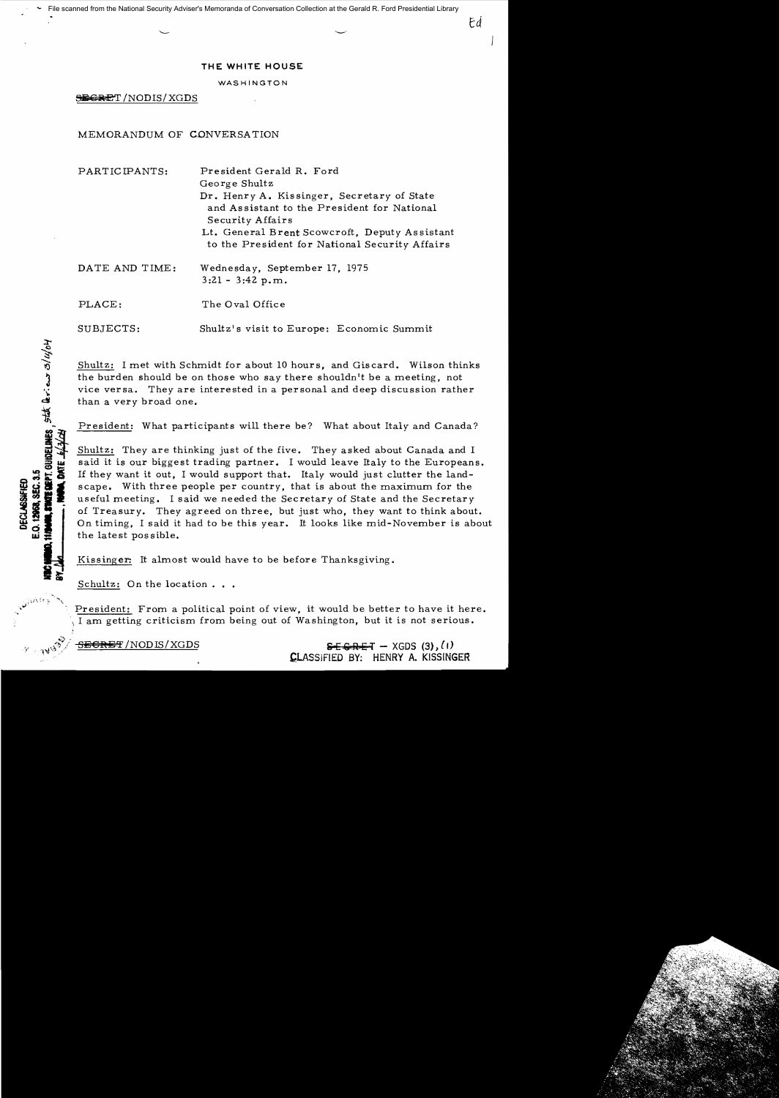## **THE WHITE HOUSE**

## WASHINGTON

S:ii€i~ET *INODISI* XGDS

## MEMORANDUM OF CONVERSATION

PARTICIPANTS: President Gerald R. Ford George Shultz Dr. Henry A. Kissinger, Secretary of State and As sistant to the President for National Security Affairs Lt. General Brent Scowcroft, Deputy Assistant to the President for National Security Affairs DATE AND TIME: Wednesday, September 17, 1975

3:21 - 3:42 p.m.

PLACE: The Oval Office

SUBJECTS: Shultz's visit to Europe: Economic Summit

Shultz: I met with Schmidt for about 10 hours, and Giscard. Wilson thinks the burden should be on those who say there shouldn't be a meeting, not vice versa. They are interested in a personal and deep discussion rather than a very broad one.

President: What participants will there be? What about Italy and Canada?

Shultz: They are thinking just of the five. They asked about Canada and I said it is our biggest trading partner. I would leave Italy to the Europeans. If they want it out, I would support that. Italy would just clutter the landscape. With three people per country, that is about the maximum for the useful meeting. I said we needed the Secretary of State and the Secretary of Treasury. They agreed on three, but just who, they want to think about. On timing, I said it had to be this year. It looks like mid-November is about the latest possible.

Kissinger: It almost would have to be before Thanksgiving.

Schultz: On the location . . .

President: From a political point of view, it would be better to have it here. I am getting criticism from being out of Washington, but it is not serious.

 $\frac{1}{100}$   $\frac{1}{100}$   $\frac{1}{100}$   $\frac{1}{100}$   $\frac{1}{100}$   $\frac{1}{100}$   $\frac{1}{100}$   $\frac{1}{100}$   $\frac{1}{100}$   $\frac{1}{100}$   $\frac{1}{100}$   $\frac{1}{100}$   $\frac{1}{100}$   $\frac{1}{100}$   $\frac{1}{100}$   $\frac{1}{100}$   $\frac{1}{100}$   $\frac{1}{100}$   $\frac{1}{$ ,CLASSIFIED BY: HENRY A. KISSINGER

**MEPT. GUIDELINES** State arrive 3/14/04 E.O. 12958, SEC. 3.5 **DECLASSIFIED**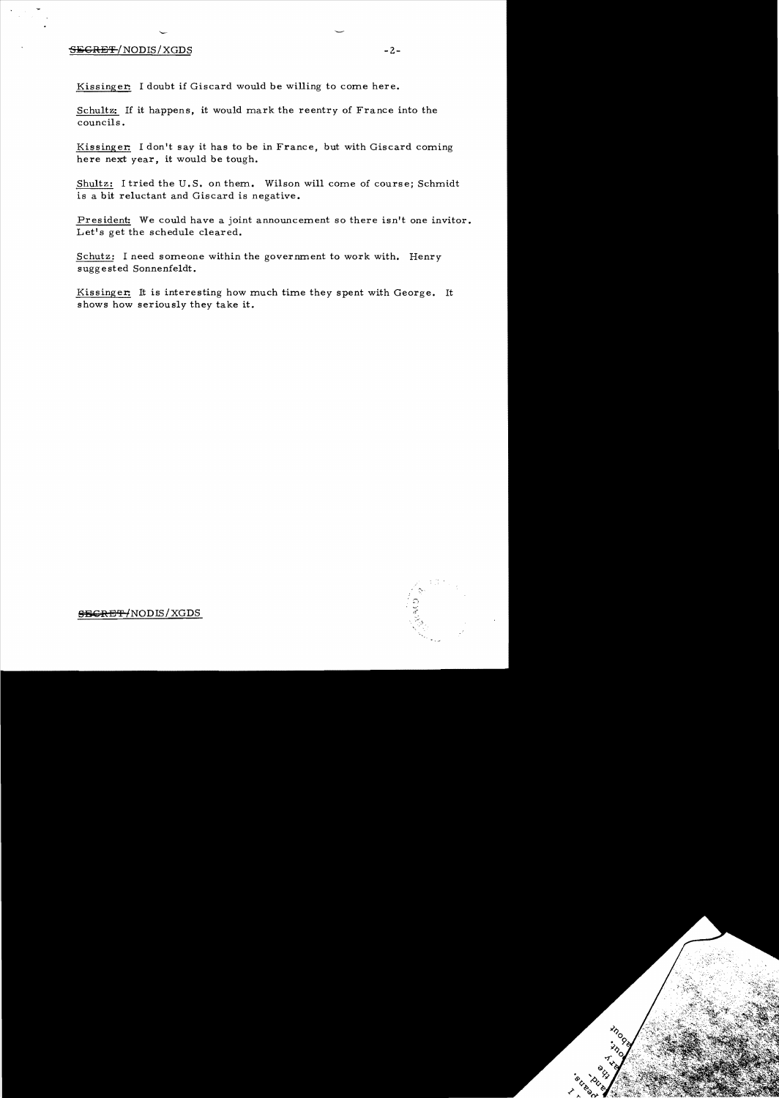## $\overline{\text{SEGREF}}$ /NODIS/XGDS  $-2$ -

'

Kissinger: I doubt if Giscard would be willing to come here.

Schultz: If it happens, it would mark the reentry of France into the councils.

Kissinger: I don't say it has to be in France, but with Giscard coming here next year, it would be tough.

Shultz: I tried the U. S. on them. Wilson will come of course; Schmidt is a bit reluctant and Giscard is negative.

President: We could have a joint announcement so there isn't one invitor. Let's get the schedule cleared.

Schutz: I need someone within the government to work with. Henry suggested Sonnenfeldt.

Kissinger: It is interesting how much time they spent with George. It shows how seriously they take it.



 $-$ <del>SECRET/</del>NODIS/XGDS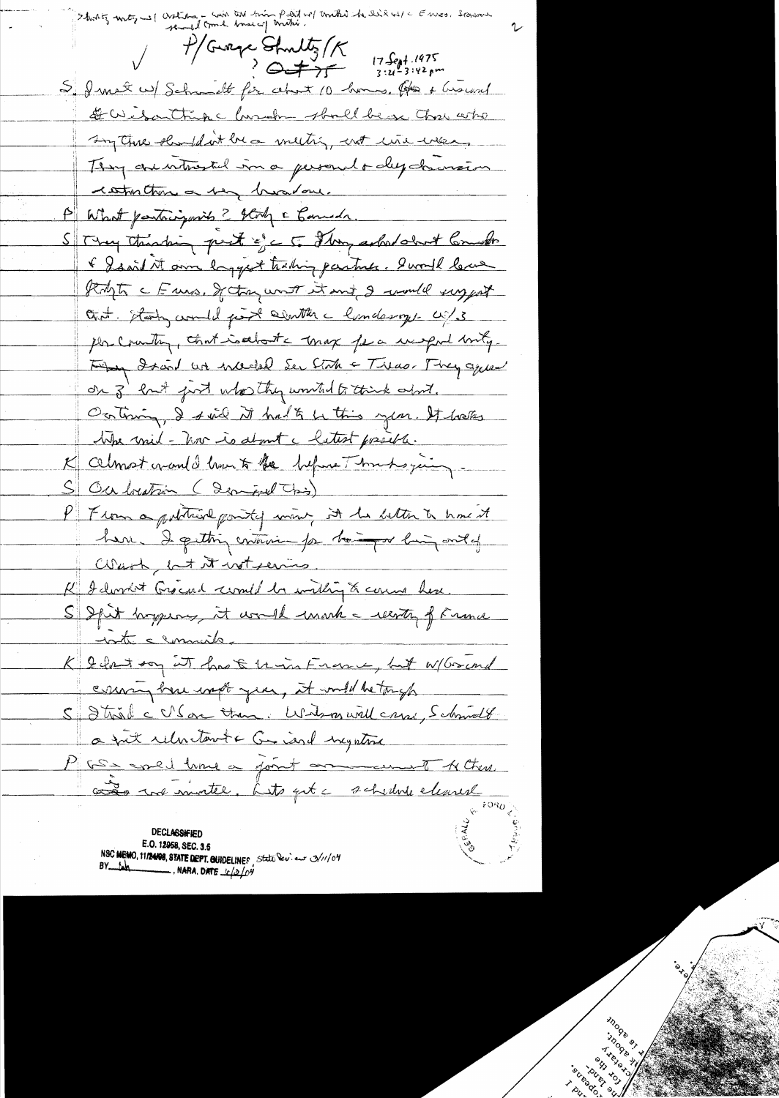Enves, Spran Shortiz unty will articles - win and min part of mike he like us / c  $\frac{f}{f}$ Gurge Struttz /  $\kappa$  17 Sept 1975 S. I met w/ Schmidt für about 10 homes. Ober + Ground Daisonthise honoby should be a those who sun three should int be a meeting, not une wear, They are intrested in a personal or depolarmaison restruction a very broad one. Stry thinking pest of c 5. They asked about Comedo & Isaid it am longest trading partner. Sworth lever Right c Euro, Jetan wort it and I would suggest Out. Staty would gist conter a londerry. U.S. per country, that isabout a max for a unport body. They draid an include Ser State - Theo. They agreed on 3' but just whosethy wonted to think about. Ocitimin, I said it had to be this year. It hals the will-how is about a latest possible. K celmost cran de hourts the helper Thrushoping. S Ou bution (demoist Chis) P From a political pointy wine, it he better to have it here. I getting entiment por home of with ontof Wash, lat it wit servis. K I durnet Grocard comed be within to come here. S Spit hopping, it would make recorting of France inte cannaits K 2 hart son at have to union France, but W/Grand coming here with year, it would be tough S Strike VSon than. Write will crew, Schmolt a fut relation te Graciard inegative PGS - cored lime a good on come of Active as in motel, Lito get a schedne cleared

**DECLASSIFIED** E.O. 12958, SEC. 3.5 NSC MEMO, 11/24/08, STATE DEPT. QUIDELINES, State Dev. eur 3/11/04  $BY$  toh NARA. DATE  $\frac{1}{2}$ / $0$